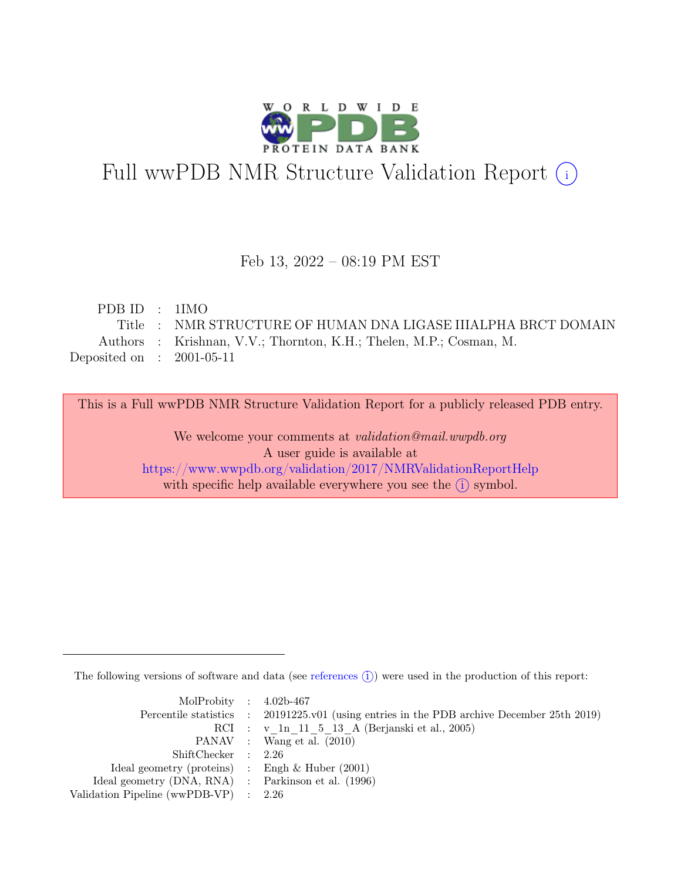

# Full wwPDB NMR Structure Validation Report (i)

### Feb 13, 2022 – 08:19 PM EST

| PDBID : 1IMO                |                                                                    |
|-----------------------------|--------------------------------------------------------------------|
|                             | Title : NMR STRUCTURE OF HUMAN DNA LIGASE IIIALPHA BRCT DOMAIN     |
|                             | Authors : Krishnan, V.V.; Thornton, K.H.; Thelen, M.P.; Cosman, M. |
| Deposited on : $2001-05-11$ |                                                                    |

This is a Full wwPDB NMR Structure Validation Report for a publicly released PDB entry.

We welcome your comments at *validation@mail.wwpdb.org* A user guide is available at <https://www.wwpdb.org/validation/2017/NMRValidationReportHelp> with specific help available everywhere you see the  $(i)$  symbol.

The following versions of software and data (see [references](https://www.wwpdb.org/validation/2017/NMRValidationReportHelp#references)  $\hat{I}$ ) were used in the production of this report:

| MolProbity : $4.02b-467$                            |                                                                                            |
|-----------------------------------------------------|--------------------------------------------------------------------------------------------|
|                                                     | Percentile statistics : 20191225.v01 (using entries in the PDB archive December 25th 2019) |
|                                                     | RCI : v 1n 11 5 13 A (Berjanski et al., 2005)                                              |
|                                                     | PANAV : Wang et al. (2010)                                                                 |
| ShiftChecker : 2.26                                 |                                                                                            |
| Ideal geometry (proteins) : Engh $\&$ Huber (2001)  |                                                                                            |
| Ideal geometry (DNA, RNA) : Parkinson et al. (1996) |                                                                                            |
| Validation Pipeline (wwPDB-VP) $\therefore$ 2.26    |                                                                                            |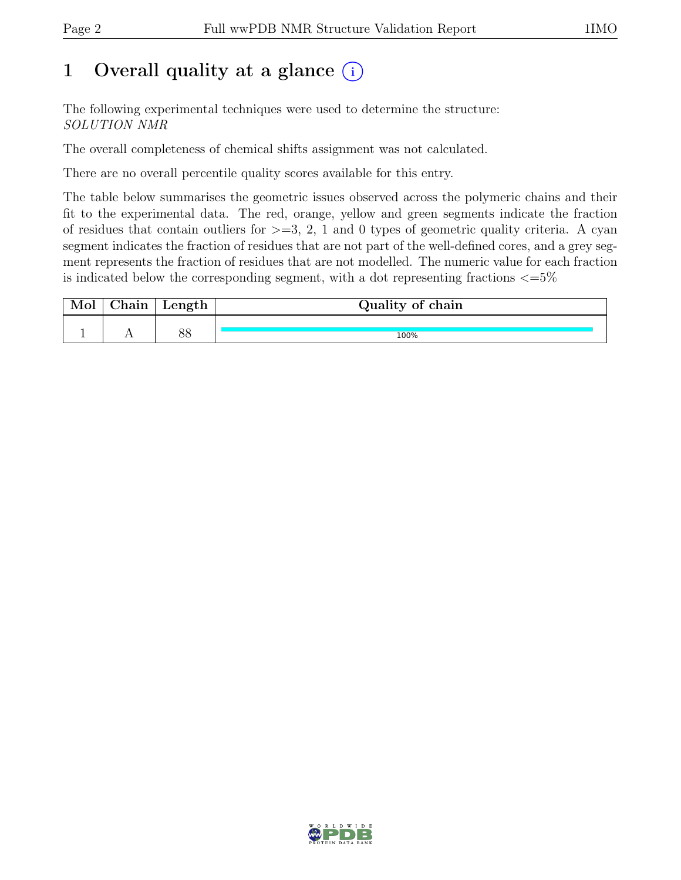## 1 Overall quality at a glance  $(i)$

The following experimental techniques were used to determine the structure: SOLUTION NMR

The overall completeness of chemical shifts assignment was not calculated.

There are no overall percentile quality scores available for this entry.

The table below summarises the geometric issues observed across the polymeric chains and their fit to the experimental data. The red, orange, yellow and green segments indicate the fraction of residues that contain outliers for  $\geq$ =3, 2, 1 and 0 types of geometric quality criteria. A cyan segment indicates the fraction of residues that are not part of the well-defined cores, and a grey segment represents the fraction of residues that are not modelled. The numeric value for each fraction is indicated below the corresponding segment, with a dot representing fractions  $\epsilon = 5\%$ 

| 01n | Length   | Quality of chain |
|-----|----------|------------------|
|     |          |                  |
|     | ററ<br>OС | 100%             |

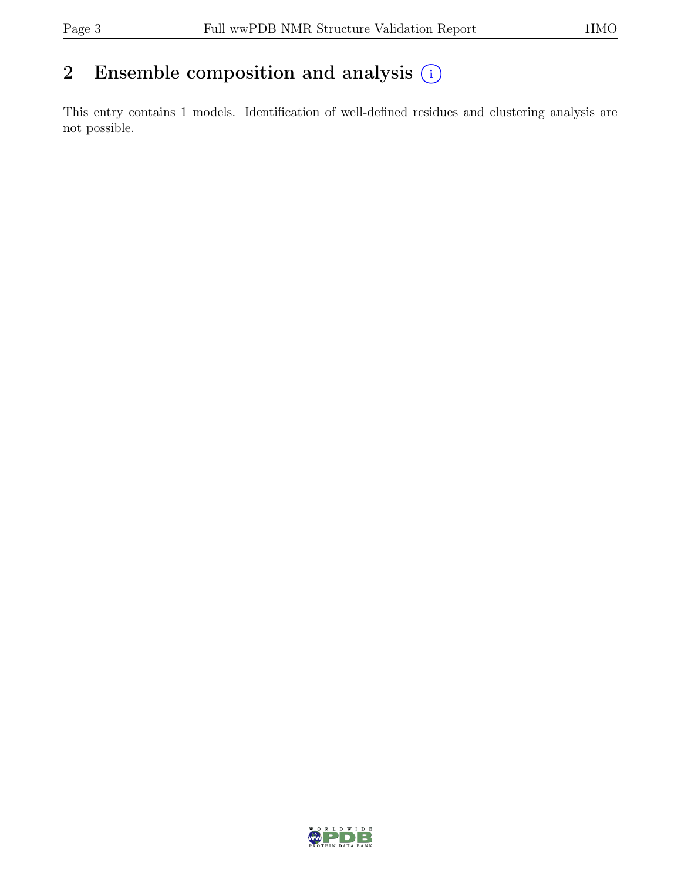## 2 Ensemble composition and analysis  $(i)$

This entry contains 1 models. Identification of well-defined residues and clustering analysis are not possible.

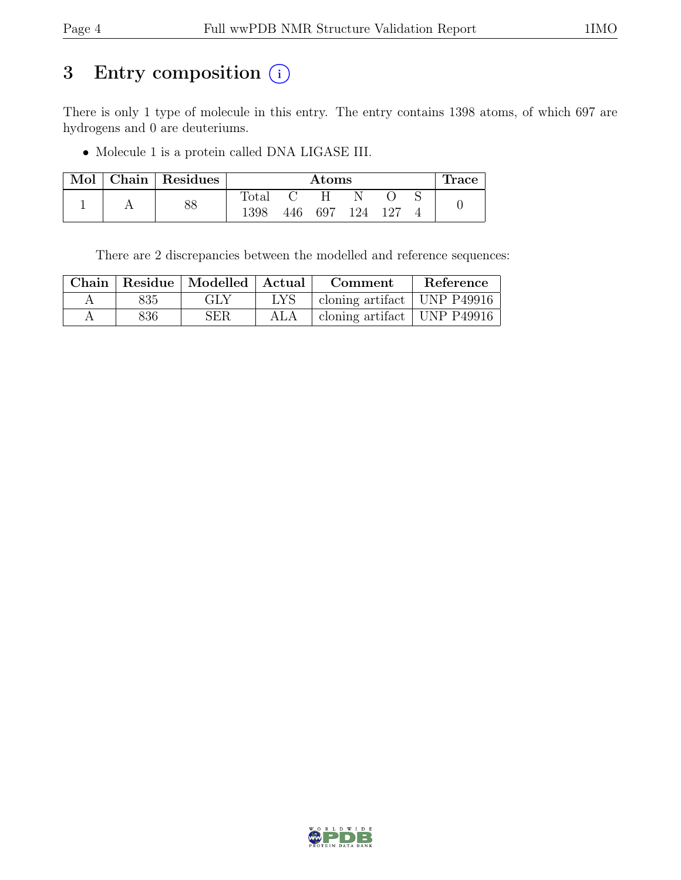## 3 Entry composition (i)

There is only 1 type of molecule in this entry. The entry contains 1398 atoms, of which 697 are hydrogens and 0 are deuteriums.

• Molecule 1 is a protein called DNA LIGASE III.

| Mol | Chain   Residues |                | $\rm{Atoms}$ |     |  |         |  | ⊥race |
|-----|------------------|----------------|--------------|-----|--|---------|--|-------|
|     |                  | $_{\rm Total}$ |              |     |  |         |  |       |
|     | 88               | 1398           | 446          | 697 |  | 124 127 |  |       |

There are 2 discrepancies between the modelled and reference sequences:

|           |     | Chain   Residue   Modelled   Actual |            | Comment                         | Reference |
|-----------|-----|-------------------------------------|------------|---------------------------------|-----------|
| $\forall$ | 835 | <b>GLY</b>                          | <b>LYS</b> | cloning artifact   UNP $P49916$ |           |
|           | 836 | <b>SER</b>                          | ALA        | cloning artifact   UNP $P49916$ |           |

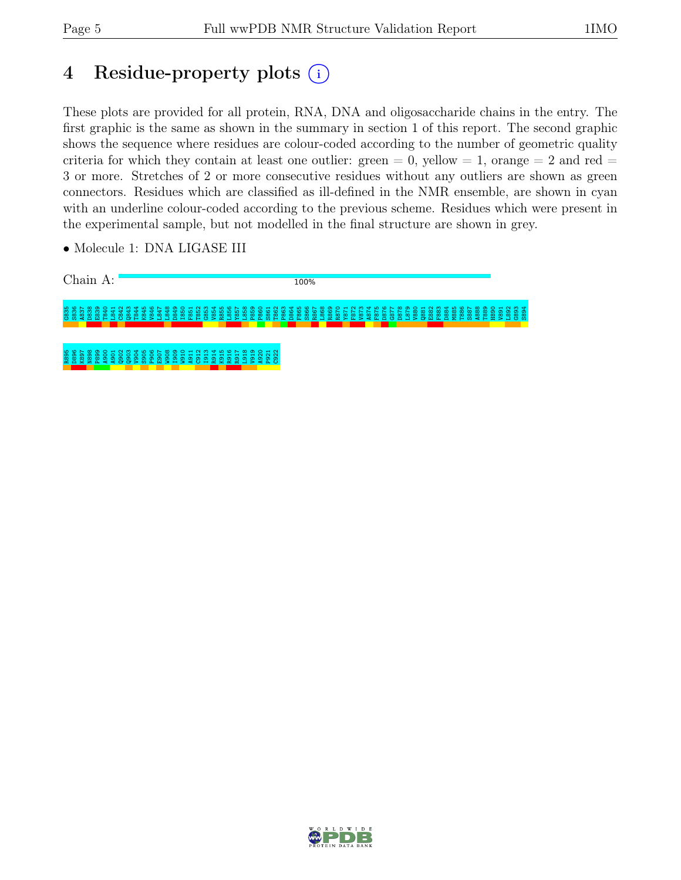# 4 Residue-property plots (i)

These plots are provided for all protein, RNA, DNA and oligosaccharide chains in the entry. The first graphic is the same as shown in the summary in section 1 of this report. The second graphic shows the sequence where residues are colour-coded according to the number of geometric quality criteria for which they contain at least one outlier: green  $= 0$ , yellow  $= 1$ , orange  $= 2$  and red  $=$ 3 or more. Stretches of 2 or more consecutive residues without any outliers are shown as green connectors. Residues which are classified as ill-defined in the NMR ensemble, are shown in cyan with an underline colour-coded according to the previous scheme. Residues which were present in the experimental sample, but not modelled in the final structure are shown in grey.

• Molecule 1: DNA LIGASE III



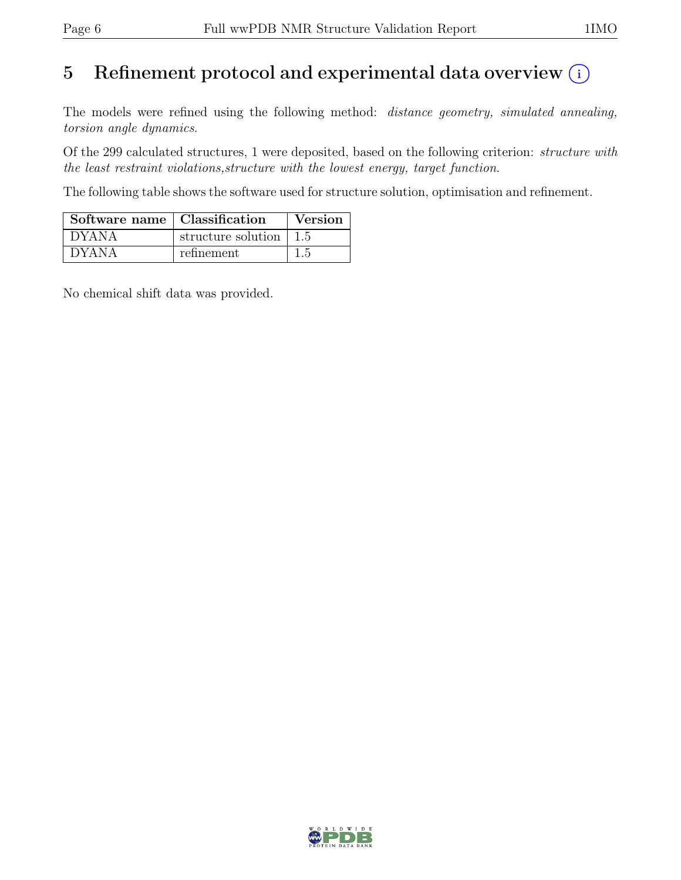# 5 Refinement protocol and experimental data overview  $\odot$

The models were refined using the following method: *distance geometry, simulated annealing,* torsion angle dynamics.

Of the 299 calculated structures, 1 were deposited, based on the following criterion: structure with the least restraint violations,structure with the lowest energy, target function.

The following table shows the software used for structure solution, optimisation and refinement.

| Software name   Classification |                                        | <b>Version</b> |
|--------------------------------|----------------------------------------|----------------|
| $^{\prime}$ DYANA              | structure solution $\vert 1.5 \rangle$ |                |
| <b>DYANA</b>                   | refinement                             | 1.5            |

No chemical shift data was provided.

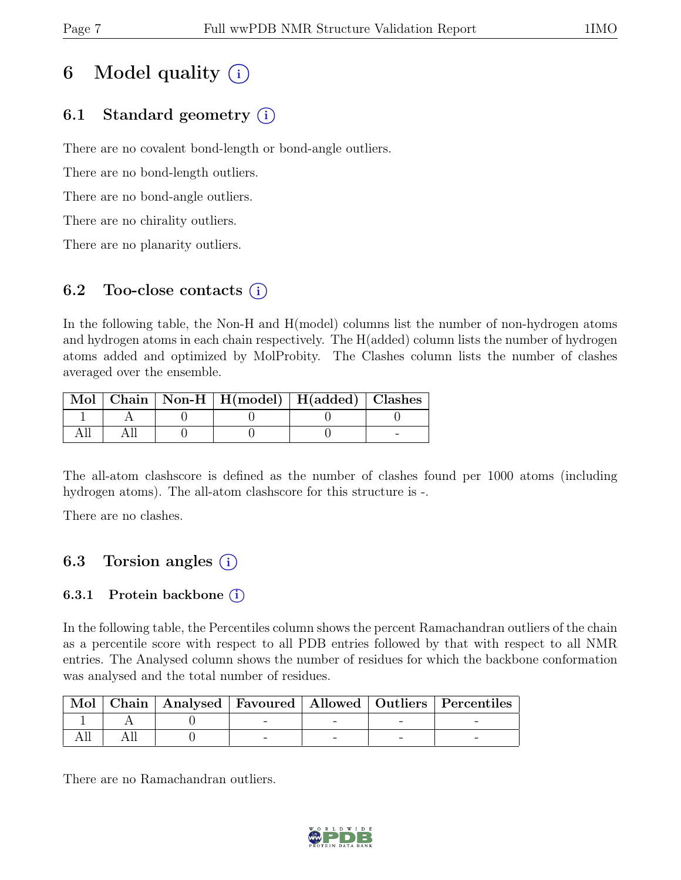# 6 Model quality  $(i)$

### 6.1 Standard geometry (i)

There are no covalent bond-length or bond-angle outliers.

There are no bond-length outliers.

There are no bond-angle outliers.

There are no chirality outliers.

There are no planarity outliers.

### 6.2 Too-close contacts  $(i)$

In the following table, the Non-H and H(model) columns list the number of non-hydrogen atoms and hydrogen atoms in each chain respectively. The H(added) column lists the number of hydrogen atoms added and optimized by MolProbity. The Clashes column lists the number of clashes averaged over the ensemble.

|  | Mol   Chain   Non-H   H(model)   H(added)   Clashes |  |
|--|-----------------------------------------------------|--|
|  |                                                     |  |
|  |                                                     |  |

The all-atom clashscore is defined as the number of clashes found per 1000 atoms (including hydrogen atoms). The all-atom clashscore for this structure is -.

There are no clashes.

### 6.3 Torsion angles  $(i)$

### 6.3.1 Protein backbone  $(i)$

In the following table, the Percentiles column shows the percent Ramachandran outliers of the chain as a percentile score with respect to all PDB entries followed by that with respect to all NMR entries. The Analysed column shows the number of residues for which the backbone conformation was analysed and the total number of residues.

|  |  |  | Mol   Chain   Analysed   Favoured   Allowed   Outliers   Percentiles |
|--|--|--|----------------------------------------------------------------------|
|  |  |  |                                                                      |
|  |  |  |                                                                      |

There are no Ramachandran outliers.

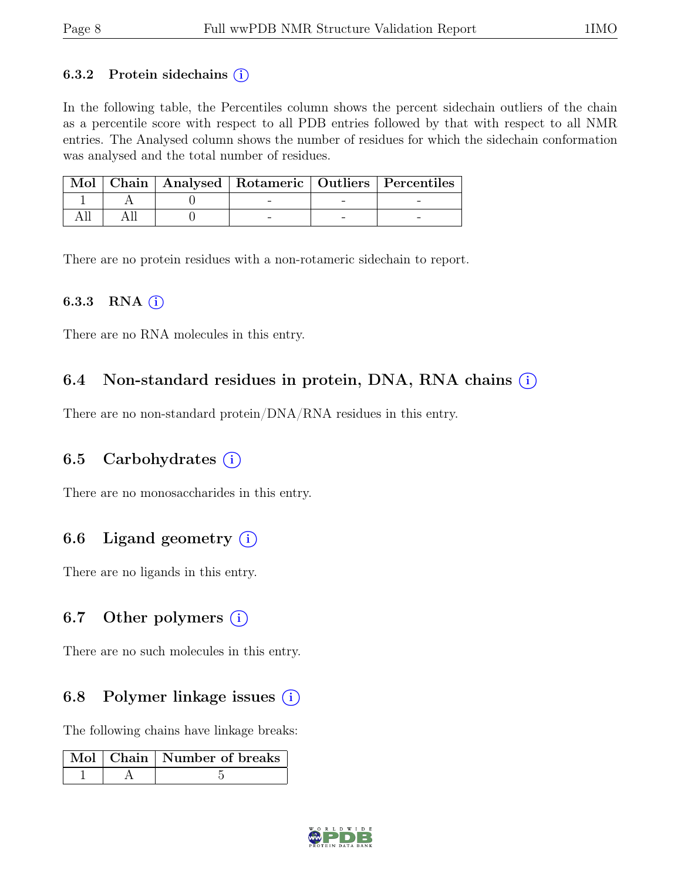#### 6.3.2 Protein sidechains  $(i)$

In the following table, the Percentiles column shows the percent sidechain outliers of the chain as a percentile score with respect to all PDB entries followed by that with respect to all NMR entries. The Analysed column shows the number of residues for which the sidechain conformation was analysed and the total number of residues.

|  |  | Mol   Chain   Analysed   Rotameric   Outliers   Percentiles |  |
|--|--|-------------------------------------------------------------|--|
|  |  |                                                             |  |
|  |  |                                                             |  |

There are no protein residues with a non-rotameric sidechain to report.

#### 6.3.3 RNA  $(i)$

There are no RNA molecules in this entry.

### 6.4 Non-standard residues in protein, DNA, RNA chains  $(i)$

There are no non-standard protein/DNA/RNA residues in this entry.

### 6.5 Carbohydrates  $(i)$

There are no monosaccharides in this entry.

### 6.6 Ligand geometry  $(i)$

There are no ligands in this entry.

### 6.7 Other polymers  $(i)$

There are no such molecules in this entry.

### 6.8 Polymer linkage issues  $(i)$

The following chains have linkage breaks:

|  | Mol   Chain   Number of breaks |
|--|--------------------------------|
|  |                                |

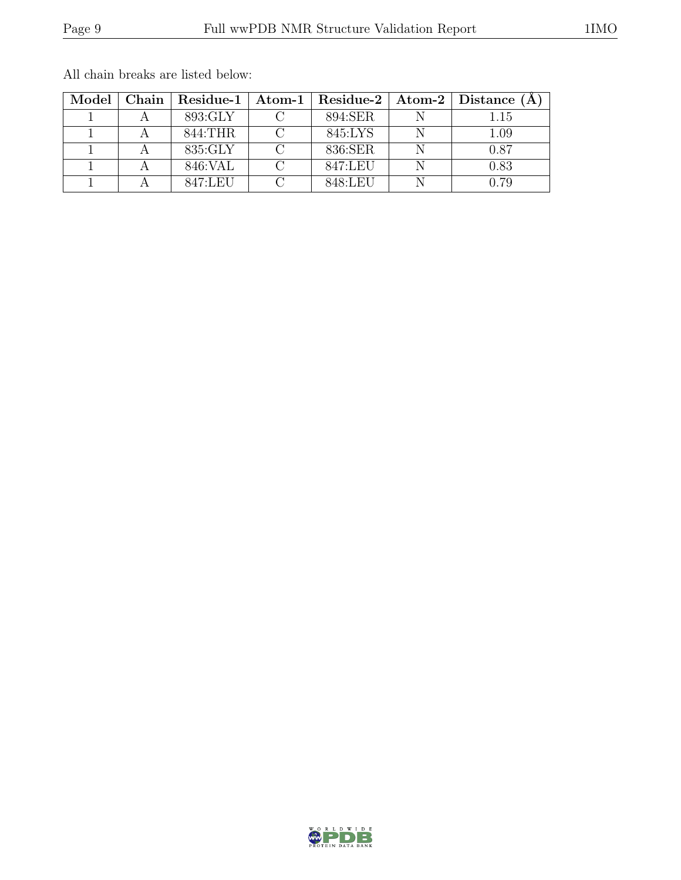| Model |                 |         | Chain   Residue-1   Atom-1   Residue-2   Atom-2   Distance $(A)$ |
|-------|-----------------|---------|------------------------------------------------------------------|
|       | 893:GLY         | 894:SER | 1.15                                                             |
|       | 844:THR         | 845:LYS | 1.09                                                             |
|       | 835:GLY         | 836:SER | 0.87                                                             |
|       | 846: VAL        | 847:LEU | 0.83                                                             |
|       | $847 \cdot$ LEU | 848 LEU | N 79                                                             |

All chain breaks are listed below: